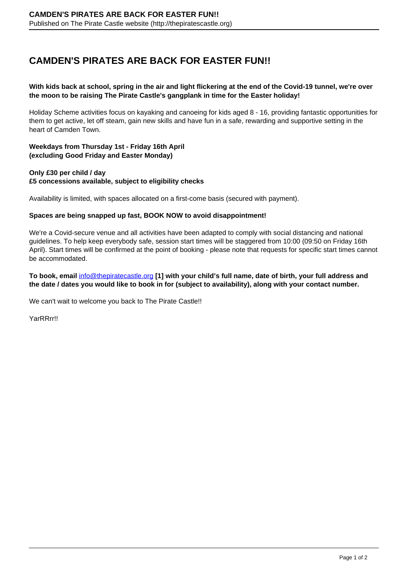# **CAMDEN'S PIRATES ARE BACK FOR EASTER FUN!!**

## **With kids back at school, spring in the air and light flickering at the end of the Covid-19 tunnel, we're over the moon to be raising The Pirate Castle's gangplank in time for the Easter holiday!**

Holiday Scheme activities focus on kayaking and canoeing for kids aged 8 - 16, providing fantastic opportunities for them to get active, let off steam, gain new skills and have fun in a safe, rewarding and supportive setting in the heart of Camden Town.

## **Weekdays from Thursday 1st - Friday 16th April (excluding Good Friday and Easter Monday)**

## **Only £30 per child / day £5 concessions available, subject to eligibility checks**

Availability is limited, with spaces allocated on a first-come basis (secured with payment).

#### **Spaces are being snapped up fast, BOOK NOW to avoid disappointment!**

We're a Covid-secure venue and all activities have been adapted to comply with social distancing and national guidelines. To help keep everybody safe, session start times will be staggered from 10:00 (09:50 on Friday 16th April). Start times will be confirmed at the point of booking - please note that requests for specific start times cannot be accommodated.

## **To book, email** [info@thepiratecastle.org](mailto:info@thepiratecastle.org) **[1] with your child's full name, date of birth, your full address and the date / dates you would like to book in for (subject to availability), along with your contact number.**

We can't wait to welcome you back to The Pirate Castle!!

YarRRrr!!